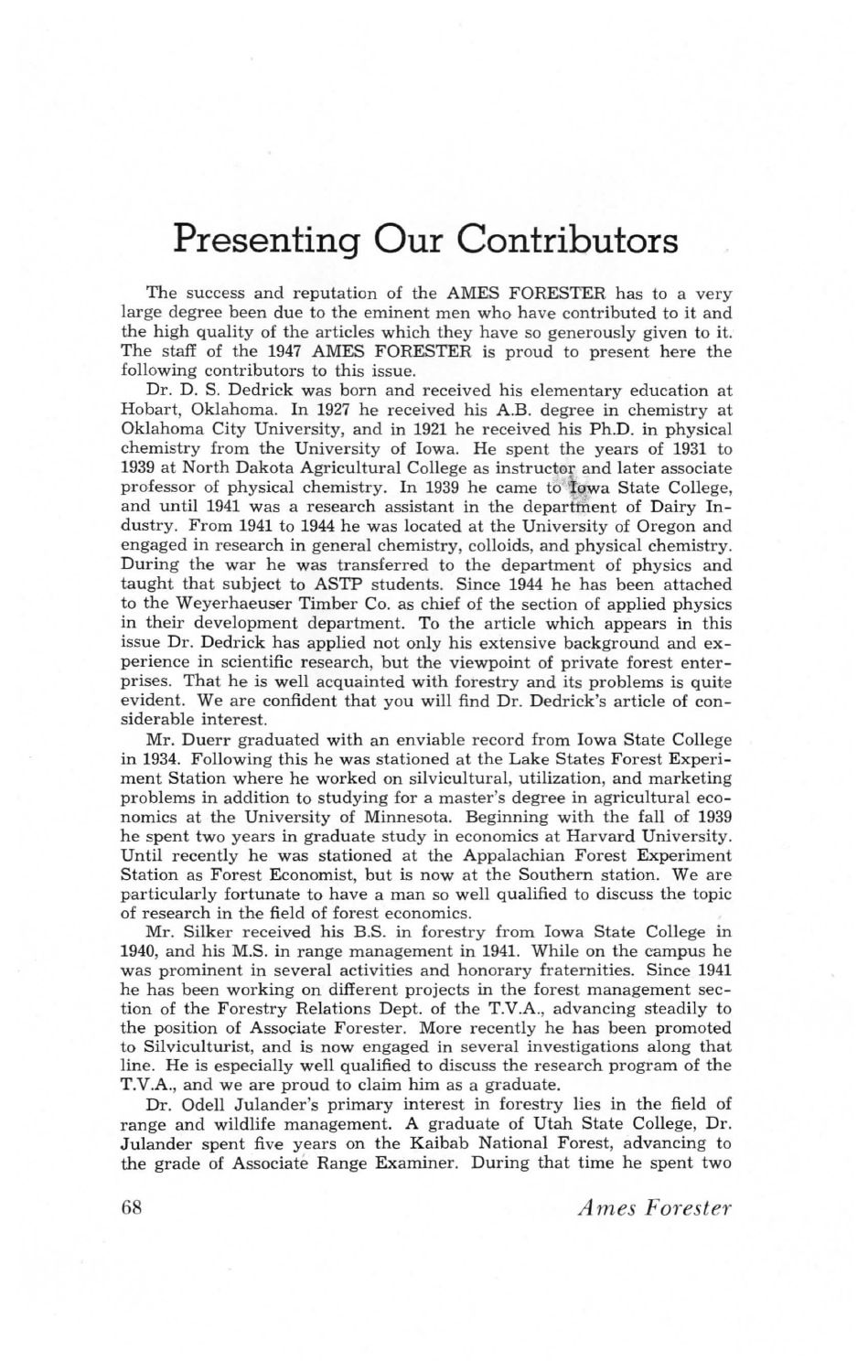## Presenting Our Contributors

The success and reputation of the AMES FORESTER has to a very large degree been due to the eminent men who have contributed to it and the high quality of the articles which they have so generously given to it. The staff of the 1947 AMES FORESTER is proud to present here the following contributors to this issue.

Dr. D. S. Dedrick was born and received his elementary education at Hobart, Oklahoma. In 1927 he received his A.B. degree in chemistry at Oklahoma City University, and in 1921 he received his Ph.D. in physical chemistry from the University of Iowa. He spent the years of 1931 to 1939 at North Dakota Agricultural College as instructor and later associate professor of physical chemistry. In 1939 he came to Iowa State College, and until 1941 was a research assistant in the department of Dairy Industry. From 1941 to 1944 he was located at the University of Oregon and engaged in research in general chemistry, colloids, and physical chemistry. During the war he was transferred to the department of physics and taught that subject to ASTP students. Since 1944 he has been attached to the Weyerhaeuser Timber Co. as chief of the section of applied physics in their development department. To the article which appears in this issue Dr. Dedrick has applied not only his extensive background and experience in scientific research, but the viewpoint of private forest enterprises. That he is well acquainted with forestry and its problems is quite evident. We are confident that you will find Dr. Dedrick's article of considerable interest.

Mr. Duerr graduated with an enviable record from Iowa State College in 1934. Following this he was stationed at the Lake States Forest Experiment Station where he worked on silvicultural, utilization, and marketing problems in addition to studying for a master's degree in agricultural economics at the University of Minnesota. Beginning with the fall of 1939 he spent two years in graduate study in economics at Harvard University. Until recently he was stationed at the Appalachian Forest Experiment Station as Forest Economist, but is now at the Southern station. We are particularly fortunate to have a man so well qualified to discuss the topic of research in the field of forest economics.

Mr. Silker received his B.S. in forestry from Iowa State College in 1940, and his M.S. in range management in 1941. While on the campus he was prominent in several activities and honorary fraternities. Since 1941 he has been working on different projects in the forest management section of the Forestry Relations Dept. of the T.V.A., advancing steadily to the position of Associate Forester. More recently he has been promoted to Silviculturist, and is now engaged in several investigations along that line. He is especially well qualified to discuss the research program of the T.V.A., and we are proud to claim him as a graduate.

Dr. Odell Julander's primary interest in forestry lies in the field of range and wildlife management. A graduate of Utah State College, Dr. Julander spent five years on the Kaibab National Forest, advancing to the grade of Associate Range Examiner. During that time he spent two

68 Ames Forester